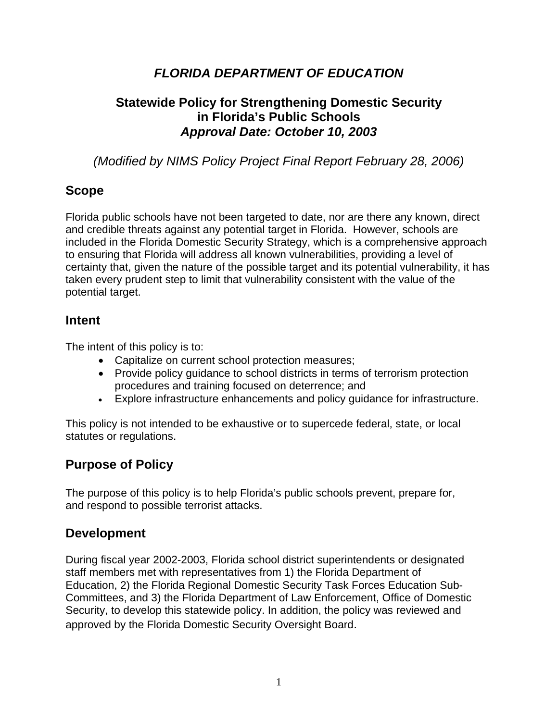# *FLORIDA DEPARTMENT OF EDUCATION*

# **Statewide Policy for Strengthening Domestic Security in Florida's Public Schools**  *Approval Date: October 10, 2003*

*(Modified by NIMS Policy Project Final Report February 28, 2006)* 

## **Scope**

Florida public schools have not been targeted to date, nor are there any known, direct and credible threats against any potential target in Florida. However, schools are included in the Florida Domestic Security Strategy, which is a comprehensive approach to ensuring that Florida will address all known vulnerabilities, providing a level of certainty that, given the nature of the possible target and its potential vulnerability, it has taken every prudent step to limit that vulnerability consistent with the value of the potential target.

### **Intent**

The intent of this policy is to:

- Capitalize on current school protection measures;
- Provide policy guidance to school districts in terms of terrorism protection procedures and training focused on deterrence; and
- Explore infrastructure enhancements and policy guidance for infrastructure.

This policy is not intended to be exhaustive or to supercede federal, state, or local statutes or regulations.

# **Purpose of Policy**

The purpose of this policy is to help Florida's public schools prevent, prepare for, and respond to possible terrorist attacks.

# **Development**

During fiscal year 2002-2003, Florida school district superintendents or designated staff members met with representatives from 1) the Florida Department of Education, 2) the Florida Regional Domestic Security Task Forces Education Sub-Committees, and 3) the Florida Department of Law Enforcement, Office of Domestic Security, to develop this statewide policy. In addition, the policy was reviewed and approved by the Florida Domestic Security Oversight Board.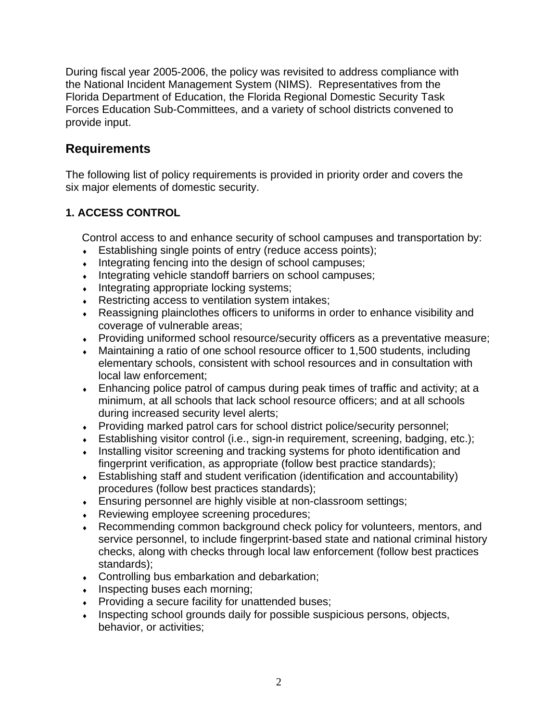During fiscal year 2005-2006, the policy was revisited to address compliance with the National Incident Management System (NIMS). Representatives from the Florida Department of Education, the Florida Regional Domestic Security Task Forces Education Sub-Committees, and a variety of school districts convened to provide input.

### **Requirements**

The following list of policy requirements is provided in priority order and covers the six major elements of domestic security.

### **1. ACCESS CONTROL**

Control access to and enhance security of school campuses and transportation by:

- Establishing single points of entry (reduce access points);
- Integrating fencing into the design of school campuses;
- Integrating vehicle standoff barriers on school campuses;
- Integrating appropriate locking systems;
- Restricting access to ventilation system intakes;
- ♦ Reassigning plainclothes officers to uniforms in order to enhance visibility and coverage of vulnerable areas;
- Providing uniformed school resource/security officers as a preventative measure;
- Maintaining a ratio of one school resource officer to 1,500 students, including elementary schools, consistent with school resources and in consultation with local law enforcement;
- $\bullet$  Enhancing police patrol of campus during peak times of traffic and activity; at a minimum, at all schools that lack school resource officers; and at all schools during increased security level alerts;
- ♦ Providing marked patrol cars for school district police/security personnel;
- $\bullet$  Establishing visitor control (i.e., sign-in requirement, screening, badging, etc.);
- Installing visitor screening and tracking systems for photo identification and fingerprint verification, as appropriate (follow best practice standards);
- ♦ Establishing staff and student verification (identification and accountability) procedures (follow best practices standards);
- Ensuring personnel are highly visible at non-classroom settings;
- Reviewing employee screening procedures;
- Recommending common background check policy for volunteers, mentors, and service personnel, to include fingerprint-based state and national criminal history checks, along with checks through local law enforcement (follow best practices standards);
- ♦ Controlling bus embarkation and debarkation;
- $\bullet$  Inspecting buses each morning;
- Providing a secure facility for unattended buses;
- Inspecting school grounds daily for possible suspicious persons, objects, behavior, or activities;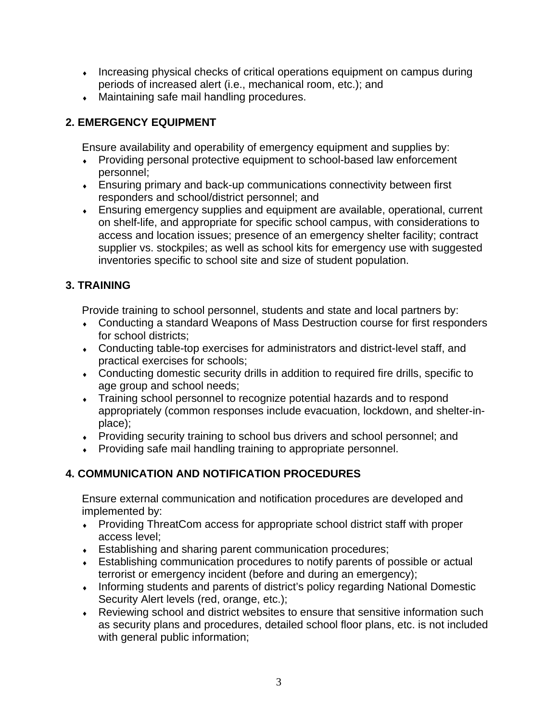- Increasing physical checks of critical operations equipment on campus during periods of increased alert (i.e., mechanical room, etc.); and
- Maintaining safe mail handling procedures.

### **2. EMERGENCY EQUIPMENT**

Ensure availability and operability of emergency equipment and supplies by:

- Providing personal protective equipment to school-based law enforcement personnel;
- Ensuring primary and back-up communications connectivity between first responders and school/district personnel; and
- ♦ Ensuring emergency supplies and equipment are available, operational, current on shelf-life, and appropriate for specific school campus, with considerations to access and location issues; presence of an emergency shelter facility; contract supplier vs. stockpiles; as well as school kits for emergency use with suggested inventories specific to school site and size of student population.

## **3. TRAINING**

Provide training to school personnel, students and state and local partners by:

- Conducting a standard Weapons of Mass Destruction course for first responders for school districts;
- ♦ Conducting table-top exercises for administrators and district-level staff, and practical exercises for schools;
- Conducting domestic security drills in addition to required fire drills, specific to age group and school needs;
- Training school personnel to recognize potential hazards and to respond appropriately (common responses include evacuation, lockdown, and shelter-inplace);
- ♦ Providing security training to school bus drivers and school personnel; and
- ♦ Providing safe mail handling training to appropriate personnel.

## **4. COMMUNICATION AND NOTIFICATION PROCEDURES**

Ensure external communication and notification procedures are developed and implemented by:

- Providing ThreatCom access for appropriate school district staff with proper access level;
- Establishing and sharing parent communication procedures;
- ♦ Establishing communication procedures to notify parents of possible or actual terrorist or emergency incident (before and during an emergency);
- Informing students and parents of district's policy regarding National Domestic Security Alert levels (red, orange, etc.);
- ♦ Reviewing school and district websites to ensure that sensitive information such as security plans and procedures, detailed school floor plans, etc. is not included with general public information;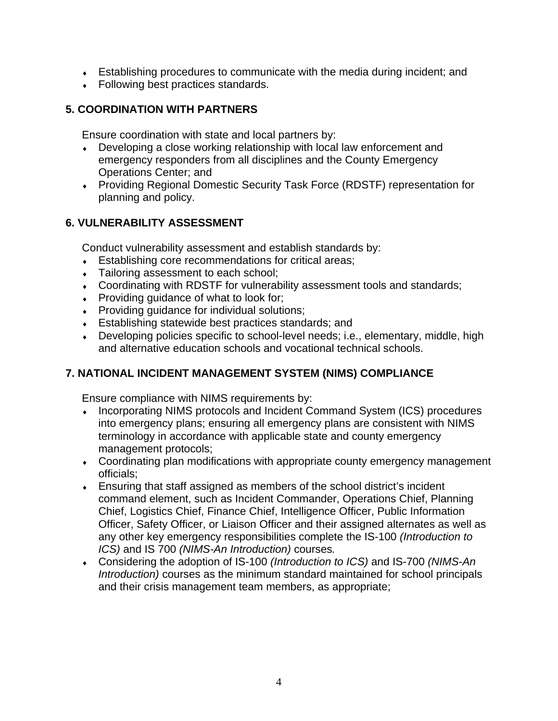- $\bullet$  Establishing procedures to communicate with the media during incident; and
- Following best practices standards.

### **5. COORDINATION WITH PARTNERS**

Ensure coordination with state and local partners by:

- Developing a close working relationship with local law enforcement and emergency responders from all disciplines and the County Emergency Operations Center; and
- ♦ Providing Regional Domestic Security Task Force (RDSTF) representation for planning and policy.

### **6. VULNERABILITY ASSESSMENT**

Conduct vulnerability assessment and establish standards by:

- Establishing core recommendations for critical areas;
- Tailoring assessment to each school;
- Coordinating with RDSTF for vulnerability assessment tools and standards;
- Providing guidance of what to look for;
- Providing guidance for individual solutions;
- ♦ Establishing statewide best practices standards; and
- Developing policies specific to school-level needs; i.e., elementary, middle, high and alternative education schools and vocational technical schools.

### **7. NATIONAL INCIDENT MANAGEMENT SYSTEM (NIMS) COMPLIANCE**

Ensure compliance with NIMS requirements by:

- Incorporating NIMS protocols and Incident Command System (ICS) procedures into emergency plans; ensuring all emergency plans are consistent with NIMS terminology in accordance with applicable state and county emergency management protocols;
- Coordinating plan modifications with appropriate county emergency management officials;
- Ensuring that staff assigned as members of the school district's incident command element, such as Incident Commander, Operations Chief, Planning Chief, Logistics Chief, Finance Chief, Intelligence Officer, Public Information Officer, Safety Officer, or Liaison Officer and their assigned alternates as well as any other key emergency responsibilities complete the IS-100 *(Introduction to ICS)* and IS 700 *(NIMS-An Introduction)* courses*.*
- ♦ Considering the adoption of IS-100 *(Introduction to ICS)* and IS-700 *(NIMS-An Introduction)* courses as the minimum standard maintained for school principals and their crisis management team members, as appropriate;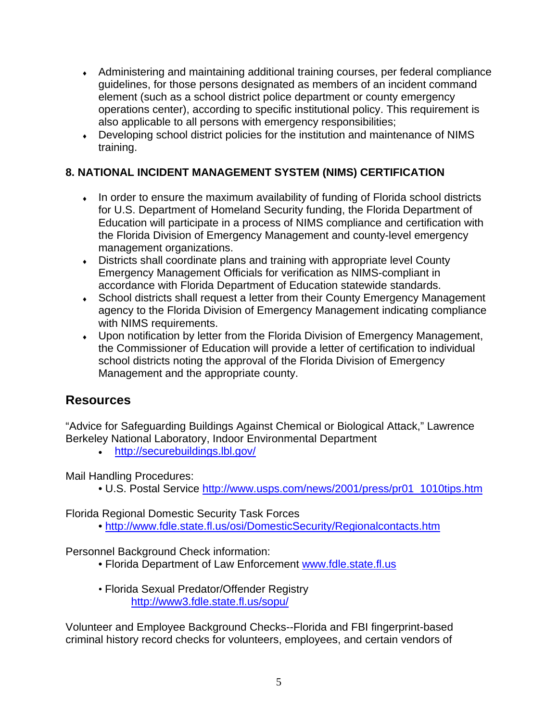- Administering and maintaining additional training courses, per federal compliance guidelines, for those persons designated as members of an incident command element (such as a school district police department or county emergency operations center), according to specific institutional policy. This requirement is also applicable to all persons with emergency responsibilities;
- Developing school district policies for the institution and maintenance of NIMS training.

### **8. NATIONAL INCIDENT MANAGEMENT SYSTEM (NIMS) CERTIFICATION**

- In order to ensure the maximum availability of funding of Florida school districts for U.S. Department of Homeland Security funding, the Florida Department of Education will participate in a process of NIMS compliance and certification with the Florida Division of Emergency Management and county-level emergency management organizations.
- Districts shall coordinate plans and training with appropriate level County Emergency Management Officials for verification as NIMS-compliant in accordance with Florida Department of Education statewide standards.
- School districts shall request a letter from their County Emergency Management agency to the Florida Division of Emergency Management indicating compliance with NIMS requirements.
- ♦ Upon notification by letter from the Florida Division of Emergency Management, the Commissioner of Education will provide a letter of certification to individual school districts noting the approval of the Florida Division of Emergency Management and the appropriate county.

## **Resources**

"Advice for Safeguarding Buildings Against Chemical or Biological Attack," Lawrence Berkeley National Laboratory, Indoor Environmental Department

• [http://securebuildings.lbl.gov/](http://securebuildings.lbl.gov) 

Mail Handling Procedures:

• U.S. Postal Service http://www.usps.com/news/2001/press/pr01\_1010tips.htm

Florida Regional Domestic Security Task Forces

• <http://www.fdle.state.fl.us/osi/DomesticSecurity/Regionalcontacts.htm>

Personnel Background Check information:

- Florida Department of Law Enforcement [www.fdle.state.fl.us](http://www.fdle.state.fl.us)
- Florida Sexual Predator/Offender Registry [http://www3.fdle.state.fl.us/sopu/](http://www3.fdle.state.fl.us/sopu)

Volunteer and Employee Background Checks--Florida and FBI fingerprint-based criminal history record checks for volunteers, employees, and certain vendors of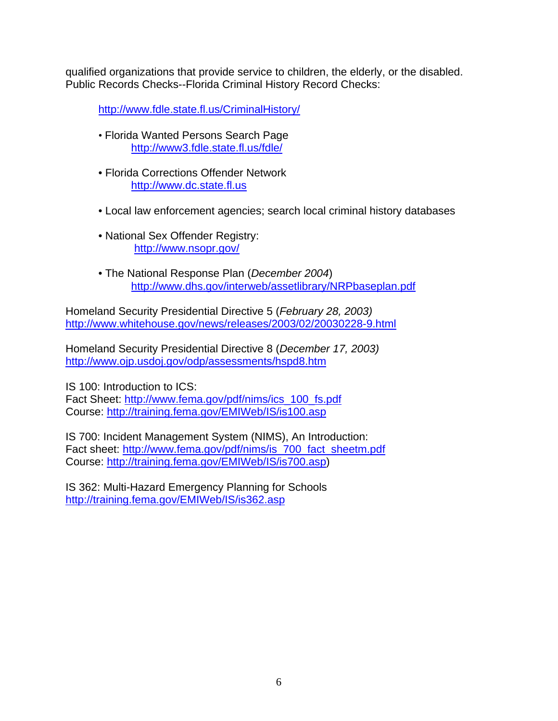qualified organizations that provide service to children, the elderly, or the disabled. Public Records Checks--Florida Criminal History Record Checks:

[http://www.fdle.state.fl.us/CriminalHistory/](http://www.fdle.state.fl.us/CriminalHistory)

- Florida Wanted Persons Search Page [http://www3.fdle.state.fl.us/fdle/](http://www3.fdle.state.fl.us/fdle)
- Florida Corrections Offender Network <http://www.dc.state.fl.us>
- Local law enforcement agencies; search local criminal history databases
- National Sex Offender Registry: [http://www.nsopr.gov/](http://www.nsopr.gov)
- The National Response Plan (*December 2004*) <http://www.dhs.gov/interweb/assetlibrary/NRPbaseplan.pdf>

Homeland Security Presidential Directive 5 (*February 28, 2003)*  <http://www.whitehouse.gov/news/releases/2003/02/20030228-9.html>

Homeland Security Presidential Directive 8 (*December 17, 2003)*  <http://www.ojp.usdoj.gov/odp/assessments/hspd8.htm>

IS 100: Introduction to ICS: Fact Sheet: http://www.fema.gov/pdf/nims/ics\_100\_fs.pdf Course:<http://training.fema.gov/EMIWeb/IS/is100.asp>

IS 700: Incident Management System (NIMS), An Introduction: Fact sheet: http://www.fema.gov/pdf/nims/is\_700\_fact\_sheetm.pdf Course: [http://training.fema.gov/EMIWeb/IS/is700.asp\)](http://training.fema.gov/EMIWeb/IS/is700.asp)

IS 362: Multi-Hazard Emergency Planning for Schools <http://training.fema.gov/EMIWeb/IS/is362.asp>